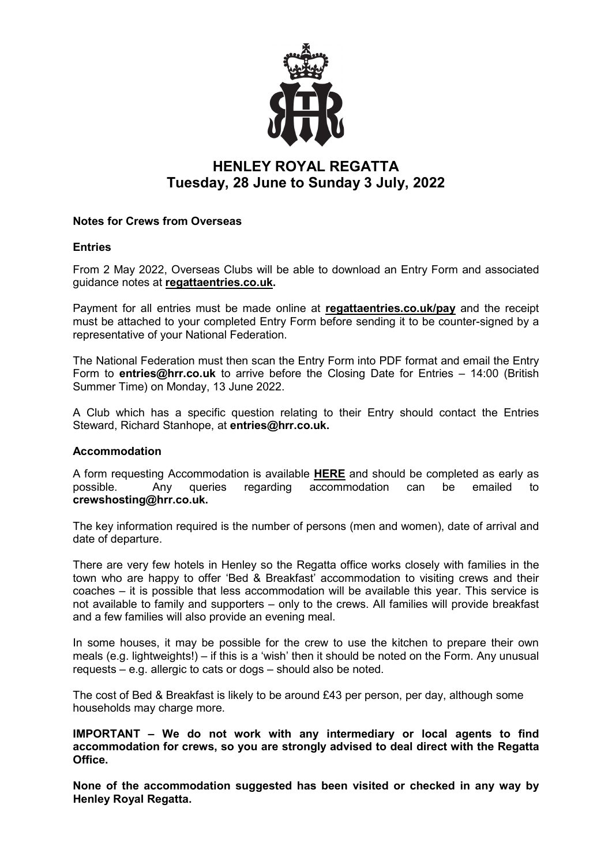

# **HENLEY ROYAL REGATTA Tuesday, 28 June to Sunday 3 July, 2022**

# **Notes for Crews from Overseas**

## **Entries**

From 2 May 2022, Overseas Clubs will be able to download an Entry Form and associated guidance notes at **[regattaentries.co.uk.](https://www.regattaentries.co.uk/)**

Payment for all entries must be made online at **[regattaentries.co.uk/pay](http://www.regattaentries.co.uk/pay)** and the receipt must be attached to your completed Entry Form before sending it to be counter-signed by a representative of your National Federation.

The National Federation must then scan the Entry Form into PDF format and email the Entry Form to **entries@hrr.co.uk** to arrive before the Closing Date for Entries – 14:00 (British Summer Time) on Monday, 13 June 2022.

A Club which has a specific question relating to their Entry should contact the Entries Steward, Richard Stanhope, at **entries@hrr.co.uk.**

#### **Accommodation**

A form requesting Accommodation is available **[HERE](https://forms.gle/MMQEcHNVExidmfFt5)** and should be completed as early as possible. Any queries regarding accommodation can be emailed to **crewshosting@hrr.co.uk.**

The key information required is the number of persons (men and women), date of arrival and date of departure.

There are very few hotels in Henley so the Regatta office works closely with families in the town who are happy to offer 'Bed & Breakfast' accommodation to visiting crews and their coaches – it is possible that less accommodation will be available this year. This service is not available to family and supporters – only to the crews. All families will provide breakfast and a few families will also provide an evening meal.

In some houses, it may be possible for the crew to use the kitchen to prepare their own meals (e.g. lightweights!) – if this is a 'wish' then it should be noted on the Form. Any unusual requests – e.g. allergic to cats or dogs – should also be noted.

The cost of Bed & Breakfast is likely to be around £43 per person, per day, although some households may charge more.

**IMPORTANT – We do not work with any intermediary or local agents to find accommodation for crews, so you are strongly advised to deal direct with the Regatta Office.**

**None of the accommodation suggested has been visited or checked in any way by Henley Royal Regatta.**